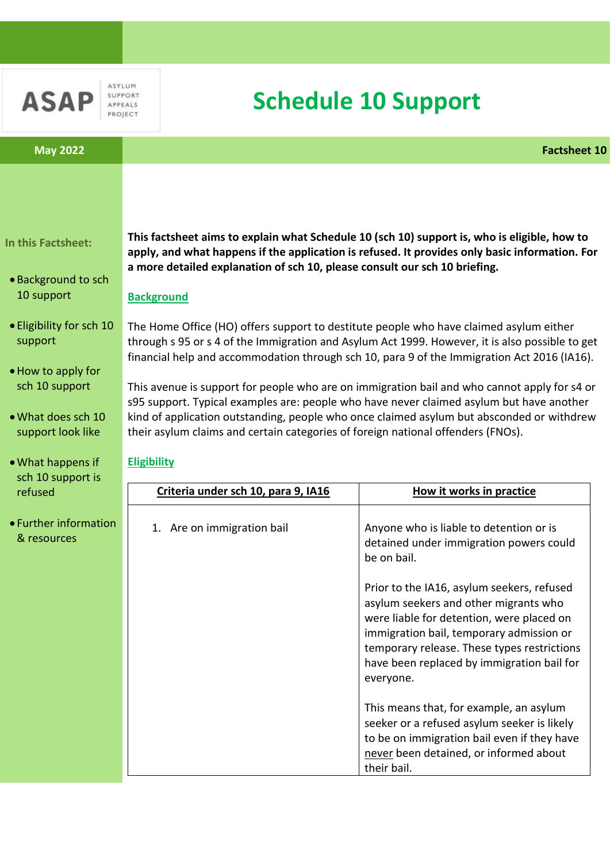

ASYLUM SUPPORT **APPEALS** PROJECT

# **Schedule 10 Support**

### **In this Factsheet:**

- •Background to sch 10 support
- Eligibility for sch 10 support
- •How to apply for sch 10 support
- •What does sch 10 support look like
- •What happens if sch 10 support is refused
- Further information & resources

**This factsheet aims to explain what Schedule 10 (sch 10) support is, who is eligible, how to apply, and what happens if the application is refused. It provides only basic information. For a more detailed explanation of sch 10, please consult our sch 10 briefing.** 

#### **Background**

The Home Office (HO) offers support to destitute people who have claimed asylum either through s 95 or s 4 of the Immigration and Asylum Act 1999. However, it is also possible to get financial help and accommodation through sch 10, para 9 of the Immigration Act 2016 (IA16).

This avenue is support for people who are on immigration bail and who cannot apply for s4 or s95 support. Typical examples are: people who have never claimed asylum but have another kind of application outstanding, people who once claimed asylum but absconded or withdrew their asylum claims and certain categories of foreign national offenders (FNOs).

#### **Eligibility**

| Criteria under sch 10, para 9, IA16 | How it works in practice                                                                                                                                                                                                                                                               |
|-------------------------------------|----------------------------------------------------------------------------------------------------------------------------------------------------------------------------------------------------------------------------------------------------------------------------------------|
| 1. Are on immigration bail          | Anyone who is liable to detention or is<br>detained under immigration powers could<br>be on bail.                                                                                                                                                                                      |
|                                     | Prior to the IA16, asylum seekers, refused<br>asylum seekers and other migrants who<br>were liable for detention, were placed on<br>immigration bail, temporary admission or<br>temporary release. These types restrictions<br>have been replaced by immigration bail for<br>everyone. |
|                                     | This means that, for example, an asylum<br>seeker or a refused asylum seeker is likely<br>to be on immigration bail even if they have<br>never been detained, or informed about<br>their bail.                                                                                         |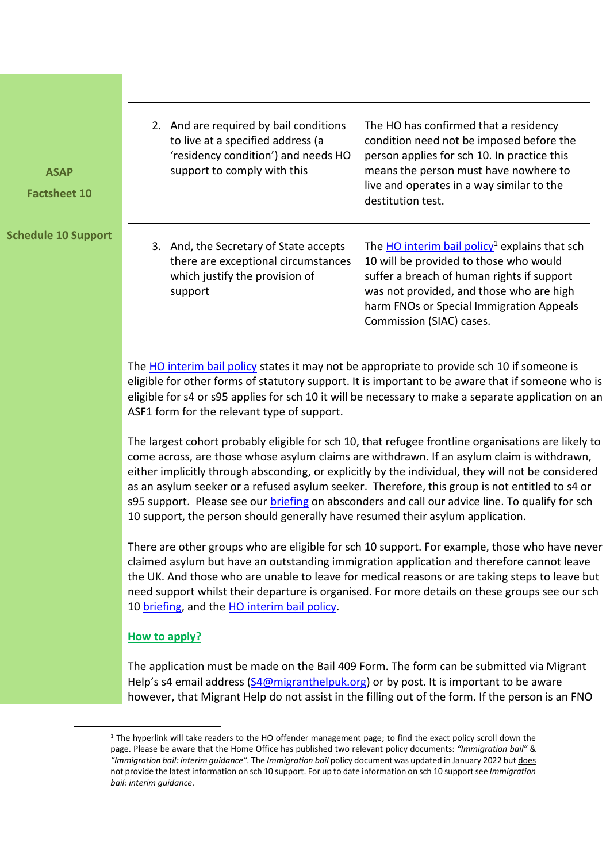| <b>ASAP</b><br><b>Factsheet 10</b> | 2. And are required by bail conditions<br>to live at a specified address (a<br>'residency condition') and needs HO<br>support to comply with this | The HO has confirmed that a residency<br>condition need not be imposed before the<br>person applies for sch 10. In practice this<br>means the person must have nowhere to<br>live and operates in a way similar to the<br>destitution test.                             |
|------------------------------------|---------------------------------------------------------------------------------------------------------------------------------------------------|-------------------------------------------------------------------------------------------------------------------------------------------------------------------------------------------------------------------------------------------------------------------------|
| edule 10 Support                   | And, the Secretary of State accepts<br>3.<br>there are exceptional circumstances<br>which justify the provision of<br>support                     | The $HO$ interim bail policy <sup>1</sup> explains that sch<br>10 will be provided to those who would<br>suffer a breach of human rights if support<br>was not provided, and those who are high<br>harm FNOs or Special Immigration Appeals<br>Commission (SIAC) cases. |

The [HO interim bail policy](https://www.gov.uk/government/publications/offender-management) states it may not be appropriate to provide sch 10 if someone is eligible for other forms of statutory support. It is important to be aware that if someone who is eligible for s4 or s95 applies for sch 10 it will be necessary to make a separate application on an ASF1 form for the relevant type of support.

The largest cohort probably eligible for sch 10, that refugee frontline organisations are likely to come across, are those whose asylum claims are withdrawn. If an asylum claim is withdrawn, either implicitly through absconding, or explicitly by the individual, they will not be considered as an asylum seeker or a refused asylum seeker. Therefore, this group is not entitled to s4 or s95 support. Please see our [briefing](https://www.asaproject.org/resources/library/briefing-notes) on absconders and call our advice line. To qualify for sch 10 support, the person should generally have resumed their asylum application.

There are other groups who are eligible for sch 10 support. For example, those who have never claimed asylum but have an outstanding immigration application and therefore cannot leave the UK. And those who are unable to leave for medical reasons or are taking steps to leave but need support whilst their departure is organised. For more details on these groups see our sch 10 [briefing,](https://www.asaproject.org/resources/library/briefing-notes) and the [HO interim bail policy.](https://www.gov.uk/government/publications/offender-management)

## **How to apply?**

**.** 

**Sche** 

The application must be made on the Bail 409 Form. The form can be submitted via Migrant Help's s4 email address ([S4@migranthelpuk.org\)](mailto:S4@migranthelpuk.org) or by post. It is important to be aware however, that Migrant Help do not assist in the filling out of the form. If the person is an FNO

<sup>&</sup>lt;sup>1</sup> The hyperlink will take readers to the HO offender management page; to find the exact policy scroll down the page. Please be aware that the Home Office has published two relevant policy documents: *"Immigration bail"* & *"Immigration bail: interim guidance".* The *Immigration bail* policy document was updated in January 2022 but does not provide the latest information on sch 10 support. For up to date information on sch 10 supportsee *Immigration bail: interim guidance*.